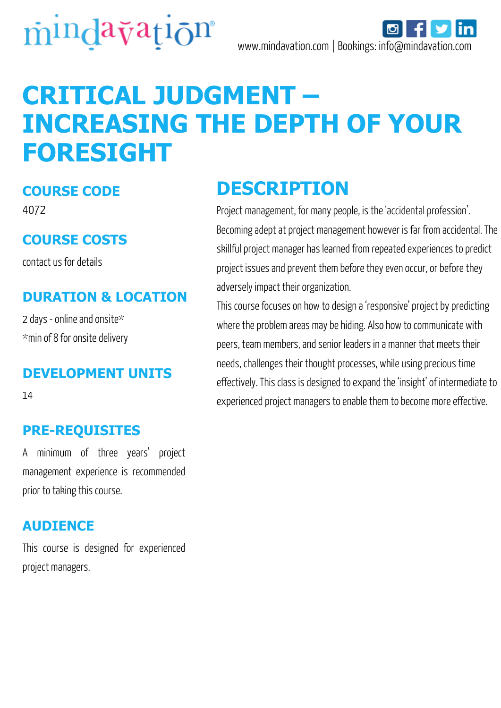



# **CRITICAL JUDGMENT – INCREASING THE DEPTH OF YOUR FORESIGHT**

#### **COURSE CODE**

4072

#### **COURSE COSTS**

contact us for details

#### **DURATION & LOCATION**

2 days - online and onsite\* \*min of 8 for onsite delivery

#### **DEVELOPMENT UNITS**

14

#### **PRE-REQUISITES**

A minimum of three years' project management experience is recommended prior to taking this course.

#### **AUDIENCE**

This course is designed for experienced project managers.

### **DESCRIPTION**

Project management, for many people, is the 'accidental profession'. Becoming adept at project management however is far from accidental. The skillful project manager has learned from repeated experiences to predict project issues and prevent them before they even occur, or before they adversely impact their organization.

This course focuses on how to design a 'responsive' project by predicting where the problem areas may be hiding. Also how to communicate with peers, team members, and senior leaders in a manner that meets their needs, challenges their thought processes, while using precious time effectively. This class is designed to expand the 'insight' of intermediate to experienced project managers to enable them to become more effective.